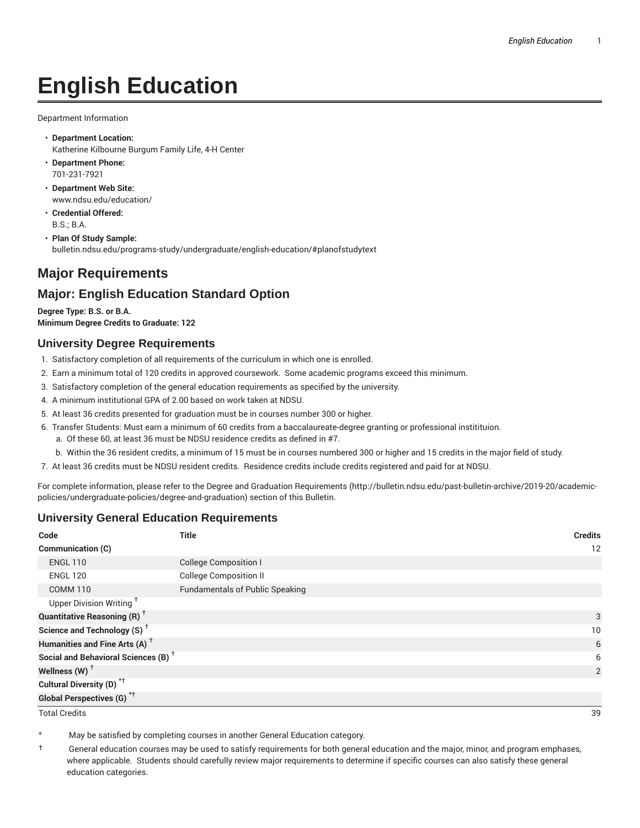# **English Education**

Department Information

- **Department Location:** Katherine Kilbourne Burgum Family Life, 4-H Center
- **Department Phone:** 701-231-7921
- **Department Web Site:** www.ndsu.edu/education/
- **Credential Offered:** B.S.; B.A.
- **Plan Of Study Sample:** bulletin.ndsu.edu/programs-study/undergraduate/english-education/#planofstudytext

## **Major Requirements**

## **Major: English Education Standard Option**

**Degree Type: B.S. or B.A. Minimum Degree Credits to Graduate: 122**

### **University Degree Requirements**

- 1. Satisfactory completion of all requirements of the curriculum in which one is enrolled.
- 2. Earn a minimum total of 120 credits in approved coursework. Some academic programs exceed this minimum.
- 3. Satisfactory completion of the general education requirements as specified by the university.
- 4. A minimum institutional GPA of 2.00 based on work taken at NDSU.
- 5. At least 36 credits presented for graduation must be in courses number 300 or higher.
- 6. Transfer Students: Must earn a minimum of 60 credits from a baccalaureate-degree granting or professional institituion.
	- a. Of these 60, at least 36 must be NDSU residence credits as defined in #7.
	- b. Within the 36 resident credits, a minimum of 15 must be in courses numbered 300 or higher and 15 credits in the major field of study.
- 7. At least 36 credits must be NDSU resident credits. Residence credits include credits registered and paid for at NDSU.

For complete information, please refer to the Degree and Graduation Requirements (http://bulletin.ndsu.edu/past-bulletin-archive/2019-20/academicpolicies/undergraduate-policies/degree-and-graduation) section of this Bulletin.

### **University General Education Requirements**

| Code                                            | <b>Title</b>                           | <b>Credits</b> |
|-------------------------------------------------|----------------------------------------|----------------|
| Communication (C)                               |                                        | 12             |
| <b>ENGL 110</b>                                 | <b>College Composition I</b>           |                |
| <b>ENGL 120</b>                                 | <b>College Composition II</b>          |                |
| <b>COMM 110</b>                                 | <b>Fundamentals of Public Speaking</b> |                |
| Upper Division Writing <sup>+</sup>             |                                        |                |
| <b>Quantitative Reasoning (R)</b> <sup>†</sup>  |                                        | 3              |
| Science and Technology (S) <sup>+</sup>         |                                        | 10             |
| Humanities and Fine Arts (A) <sup>+</sup>       |                                        | 6              |
| Social and Behavioral Sciences (B) <sup>+</sup> |                                        | 6              |
| Wellness $(W)$ <sup>+</sup>                     |                                        | 2              |
| Cultural Diversity (D) <sup>*†</sup>            |                                        |                |
| <b>Global Perspectives (G)<sup>*†</sup></b>     |                                        |                |

Total Credits 39

May be satisfied by completing courses in another General Education category.

† General education courses may be used to satisfy requirements for both general education and the major, minor, and program emphases, where applicable. Students should carefully review major requirements to determine if specific courses can also satisfy these general education categories.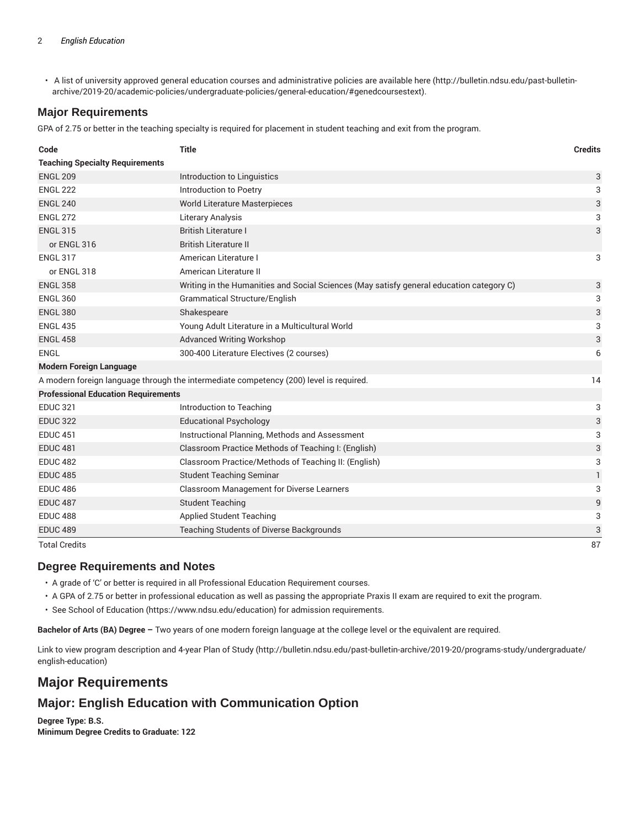• A list of university approved general education courses and administrative policies are available here (http://bulletin.ndsu.edu/past-bulletinarchive/2019-20/academic-policies/undergraduate-policies/general-education/#genedcoursestext).

## **Major Requirements**

GPA of 2.75 or better in the teaching specialty is required for placement in student teaching and exit from the program.

| Code                                                                                   | <b>Title</b>                                                                             | <b>Credits</b> |
|----------------------------------------------------------------------------------------|------------------------------------------------------------------------------------------|----------------|
| <b>Teaching Specialty Requirements</b>                                                 |                                                                                          |                |
| <b>ENGL 209</b>                                                                        | Introduction to Linguistics                                                              | 3              |
| <b>ENGL 222</b>                                                                        | Introduction to Poetry                                                                   | 3              |
| <b>ENGL 240</b>                                                                        | World Literature Masterpieces                                                            | 3              |
| <b>ENGL 272</b>                                                                        | <b>Literary Analysis</b>                                                                 | 3              |
| <b>ENGL 315</b>                                                                        | <b>British Literature I</b>                                                              | 3              |
| or ENGL 316                                                                            | <b>British Literature II</b>                                                             |                |
| <b>ENGL 317</b>                                                                        | American Literature I                                                                    | 3              |
| or ENGL 318                                                                            | American Literature II                                                                   |                |
| <b>ENGL 358</b>                                                                        | Writing in the Humanities and Social Sciences (May satisfy general education category C) | 3              |
| <b>ENGL 360</b>                                                                        | <b>Grammatical Structure/English</b>                                                     | 3              |
| <b>ENGL 380</b>                                                                        | Shakespeare                                                                              | 3              |
| <b>ENGL 435</b>                                                                        | Young Adult Literature in a Multicultural World                                          | 3              |
| <b>ENGL 458</b>                                                                        | <b>Advanced Writing Workshop</b>                                                         | 3              |
| ENGL                                                                                   | 300-400 Literature Electives (2 courses)                                                 | 6              |
| <b>Modern Foreign Language</b>                                                         |                                                                                          |                |
| A modern foreign language through the intermediate competency (200) level is required. |                                                                                          |                |
| <b>Professional Education Requirements</b>                                             |                                                                                          |                |
| <b>EDUC 321</b>                                                                        | Introduction to Teaching                                                                 | 3              |
| <b>EDUC 322</b>                                                                        | <b>Educational Psychology</b>                                                            | 3              |
| <b>EDUC 451</b>                                                                        | Instructional Planning, Methods and Assessment                                           | 3              |
| <b>EDUC 481</b>                                                                        | Classroom Practice Methods of Teaching I: (English)                                      | $\sqrt{3}$     |
| <b>EDUC 482</b>                                                                        | Classroom Practice/Methods of Teaching II: (English)                                     | 3              |
| <b>EDUC 485</b>                                                                        | <b>Student Teaching Seminar</b>                                                          | 1              |
| <b>EDUC 486</b>                                                                        | Classroom Management for Diverse Learners                                                | 3              |
| <b>EDUC 487</b>                                                                        | <b>Student Teaching</b>                                                                  | 9              |
| <b>EDUC 488</b>                                                                        | <b>Applied Student Teaching</b>                                                          | 3              |
| <b>EDUC 489</b>                                                                        | Teaching Students of Diverse Backgrounds                                                 | 3              |
| <b>Total Credits</b>                                                                   |                                                                                          | 87             |

### **Degree Requirements and Notes**

• A grade of 'C' or better is required in all Professional Education Requirement courses.

• A GPA of 2.75 or better in professional education as well as passing the appropriate Praxis II exam are required to exit the program.

• See School of Education (https://www.ndsu.edu/education) for admission requirements.

**Bachelor of Arts (BA) Degree –** Two years of one modern foreign language at the college level or the equivalent are required.

Link to view program description and 4-year Plan of Study (http://bulletin.ndsu.edu/past-bulletin-archive/2019-20/programs-study/undergraduate/ english-education)

## **Major Requirements**

## **Major: English Education with Communication Option**

**Degree Type: B.S. Minimum Degree Credits to Graduate: 122**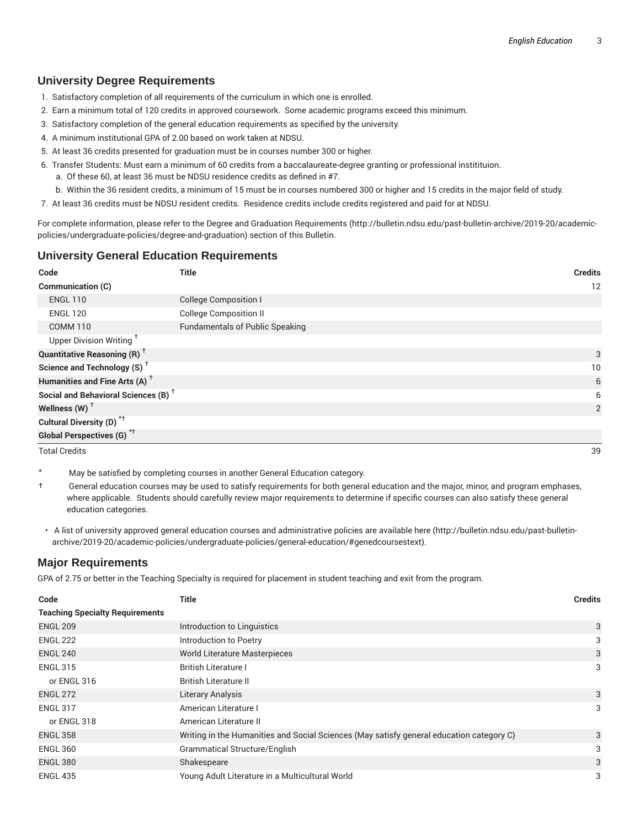## **University Degree Requirements**

- 1. Satisfactory completion of all requirements of the curriculum in which one is enrolled.
- 2. Earn a minimum total of 120 credits in approved coursework. Some academic programs exceed this minimum.
- 3. Satisfactory completion of the general education requirements as specified by the university.
- 4. A minimum institutional GPA of 2.00 based on work taken at NDSU.
- 5. At least 36 credits presented for graduation must be in courses number 300 or higher.
- 6. Transfer Students: Must earn a minimum of 60 credits from a baccalaureate-degree granting or professional institituion.
	- a. Of these 60, at least 36 must be NDSU residence credits as defined in #7.
	- b. Within the 36 resident credits, a minimum of 15 must be in courses numbered 300 or higher and 15 credits in the major field of study.
- 7. At least 36 credits must be NDSU resident credits. Residence credits include credits registered and paid for at NDSU.

For complete information, please refer to the Degree and Graduation Requirements (http://bulletin.ndsu.edu/past-bulletin-archive/2019-20/academicpolicies/undergraduate-policies/degree-and-graduation) section of this Bulletin.

### **University General Education Requirements**

| Code                                            | <b>Title</b>                           | <b>Credits</b> |
|-------------------------------------------------|----------------------------------------|----------------|
| <b>Communication (C)</b>                        |                                        | 12             |
| <b>ENGL 110</b>                                 | <b>College Composition I</b>           |                |
| <b>ENGL 120</b>                                 | <b>College Composition II</b>          |                |
| <b>COMM 110</b>                                 | <b>Fundamentals of Public Speaking</b> |                |
| Upper Division Writing <sup>T</sup>             |                                        |                |
| <b>Quantitative Reasoning (R)</b> <sup>†</sup>  |                                        | 3              |
| Science and Technology (S) <sup>+</sup>         |                                        | 10             |
| Humanities and Fine Arts (A) <sup>+</sup>       |                                        | 6              |
| Social and Behavioral Sciences (B) <sup>+</sup> |                                        | 6              |
| Wellness (W) $^{\dagger}$                       |                                        | 2              |
| Cultural Diversity (D) <sup>*†</sup>            |                                        |                |
| Global Perspectives (G) <sup>*†</sup>           |                                        |                |
| <b>Total Credits</b>                            |                                        | 39             |

- May be satisfied by completing courses in another General Education category.
- $\dagger$  General education courses may be used to satisfy requirements for both general education and the major, minor, and program emphases, where applicable. Students should carefully review major requirements to determine if specific courses can also satisfy these general education categories.
- A list of university approved general education courses and administrative policies are available here (http://bulletin.ndsu.edu/past-bulletinarchive/2019-20/academic-policies/undergraduate-policies/general-education/#genedcoursestext).

### **Major Requirements**

GPA of 2.75 or better in the Teaching Specialty is required for placement in student teaching and exit from the program.

| Code                                   | Title                                                                                    | <b>Credits</b> |
|----------------------------------------|------------------------------------------------------------------------------------------|----------------|
| <b>Teaching Specialty Requirements</b> |                                                                                          |                |
| <b>ENGL 209</b>                        | Introduction to Linguistics                                                              | 3              |
| <b>ENGL 222</b>                        | Introduction to Poetry                                                                   | 3              |
| <b>ENGL 240</b>                        | <b>World Literature Masterpieces</b>                                                     | 3              |
| <b>ENGL 315</b>                        | <b>British Literature I</b>                                                              | 3              |
| or ENGL 316                            | British Literature II                                                                    |                |
| <b>ENGL 272</b>                        | Literary Analysis                                                                        | 3              |
| <b>ENGL 317</b>                        | American Literature I                                                                    | 3              |
| or ENGL 318                            | American Literature II                                                                   |                |
| <b>ENGL 358</b>                        | Writing in the Humanities and Social Sciences (May satisfy general education category C) | 3              |
| <b>ENGL 360</b>                        | <b>Grammatical Structure/English</b>                                                     | 3              |
| <b>ENGL 380</b>                        | Shakespeare                                                                              | 3              |
| <b>ENGL 435</b>                        | Young Adult Literature in a Multicultural World                                          | 3              |